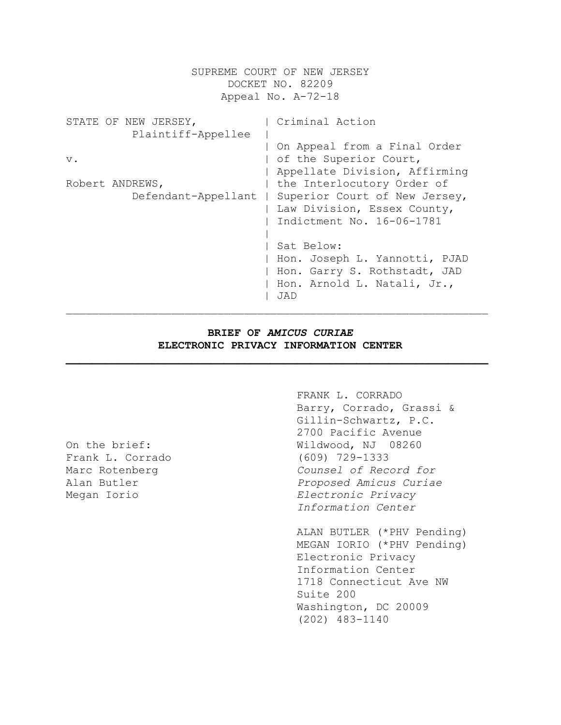SUPREME COURT OF NEW JERSEY DOCKET NO. 82209 Appeal No. A-72-18 STATE OF NEW JERSEY,  $\vert$  Criminal Action Plaintiff-Appellee | | On Appeal from a Final Order v.  $\qquad \qquad$  | of the Superior Court, | Appellate Division, Affirming Robert ANDREWS,  $|$  the Interlocutory Order of Defendant-Appellant | Superior Court of New Jersey, | Law Division, Essex County, | Indictment No. 16-06-1781 | | Sat Below: | Hon. Joseph L. Yannotti, PJAD | Hon. Garry S. Rothstadt, JAD | Hon. Arnold L. Natali, Jr., | JAD  $\mathcal{L}_\text{max} = \mathcal{L}_\text{max} = \mathcal{L}_\text{max} = \mathcal{L}_\text{max} = \mathcal{L}_\text{max} = \mathcal{L}_\text{max} = \mathcal{L}_\text{max} = \mathcal{L}_\text{max} = \mathcal{L}_\text{max} = \mathcal{L}_\text{max} = \mathcal{L}_\text{max} = \mathcal{L}_\text{max} = \mathcal{L}_\text{max} = \mathcal{L}_\text{max} = \mathcal{L}_\text{max} = \mathcal{L}_\text{max} = \mathcal{L}_\text{max} = \mathcal{L}_\text{max} = \mathcal{$ 

# **BRIEF OF** *AMICUS CURIAE* **ELECTRONIC PRIVACY INFORMATION CENTER**

**\_\_\_\_\_\_\_\_\_\_\_\_\_\_\_\_\_\_\_\_\_\_\_\_\_\_\_\_\_\_\_\_\_\_\_\_\_\_\_\_\_\_\_\_\_\_\_\_\_\_\_\_\_\_\_\_\_\_\_\_\_\_\_\_**

Frank L. Corrado (609) 729-1333

FRANK L. CORRADO Barry, Corrado, Grassi & Gillin-Schwartz, P.C. 2700 Pacific Avenue On the brief: Wildwood, NJ 08260 Marc Rotenberg *Counsel of Record for* Alan Butler *Proposed Amicus Curiae* Megan Iorio *Electronic Privacy Information Center*

> ALAN BUTLER (\*PHV Pending) MEGAN IORIO (\*PHV Pending) Electronic Privacy Information Center 1718 Connecticut Ave NW Suite 200 Washington, DC 20009 (202) 483-1140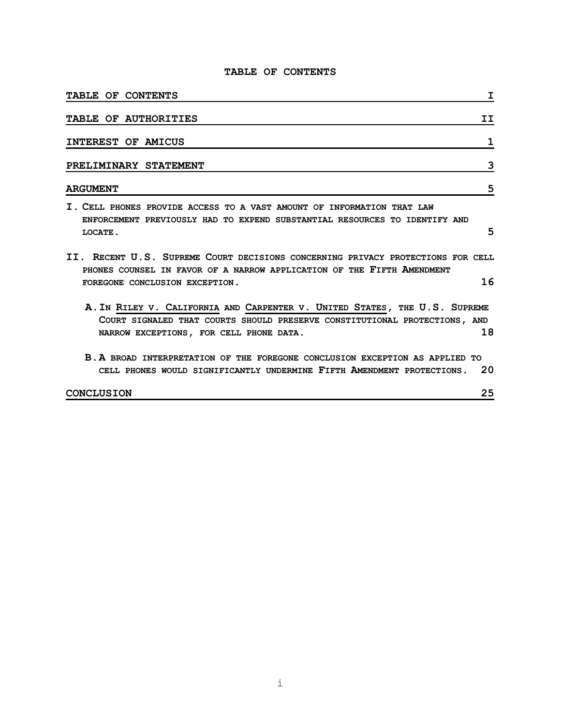# **TABLE OF CONTENTS**

| <b>TABLE OF CONTENTS</b><br>I                                                                                                                                                                             |
|-----------------------------------------------------------------------------------------------------------------------------------------------------------------------------------------------------------|
| TABLE OF AUTHORITIES<br>II                                                                                                                                                                                |
| INTEREST OF AMICUS<br>1                                                                                                                                                                                   |
| 3<br>PRELIMINARY STATEMENT                                                                                                                                                                                |
| 5<br><b>ARGUMENT</b>                                                                                                                                                                                      |
| I. CELL PHONES PROVIDE ACCESS TO A VAST AMOUNT OF INFORMATION THAT LAW<br>ENFORCEMENT PREVIOUSLY HAD TO EXPEND SUBSTANTIAL RESOURCES TO IDENTIFY AND<br>5<br>LOCATE.                                      |
| II. RECENT U.S. SUPREME COURT DECISIONS CONCERNING PRIVACY PROTECTIONS FOR CELL<br>PHONES COUNSEL IN FAVOR OF A NARROW APPLICATION OF THE FIFTH AMENDMENT<br>16<br>FOREGONE CONCLUSION EXCEPTION.         |
| A. IN RILEY V. CALIFORNIA AND CARPENTER V. UNITED STATES, THE U.S. SUPREME<br>COURT SIGNALED THAT COURTS SHOULD PRESERVE CONSTITUTIONAL PROTECTIONS, AND<br>18<br>NARROW EXCEPTIONS, FOR CELL PHONE DATA. |
| B. A BROAD INTERPRETATION OF THE FOREGONE CONCLUSION EXCEPTION AS APPLIED TO<br>20<br>CELL PHONES WOULD SIGNIFICANTLY UNDERMINE FIFTH AMENDMENT PROTECTIONS.                                              |
| 25<br>CONCLUSION                                                                                                                                                                                          |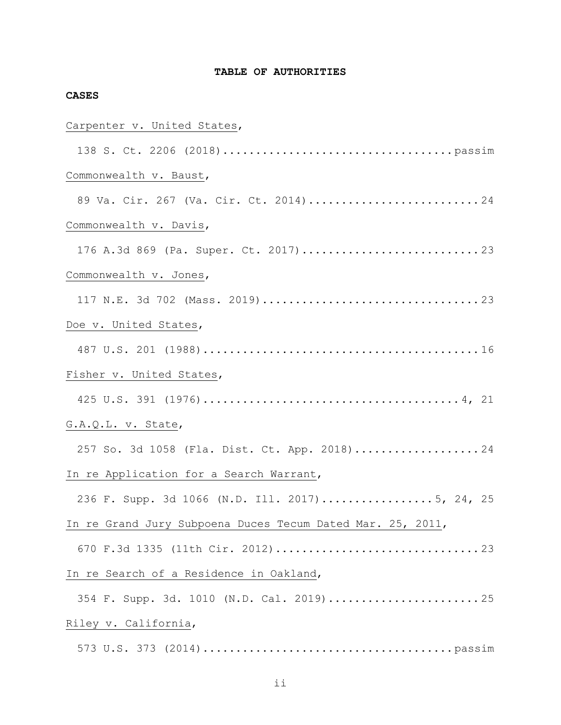# **TABLE OF AUTHORITIES**

# **CASES**

# Carpenter v. United States,

| Commonwealth v. Baust,                                     |
|------------------------------------------------------------|
| 89 Va. Cir. 267 (Va. Cir. Ct. 2014)24                      |
| Commonwealth v. Davis,                                     |
|                                                            |
| Commonwealth v. Jones,                                     |
|                                                            |
| Doe v. United States,                                      |
|                                                            |
| Fisher v. United States,                                   |
|                                                            |
| G.A.Q.L. v. State,                                         |
| 257 So. 3d 1058 (Fla. Dist. Ct. App. 2018)24               |
| In re Application for a Search Warrant,                    |
| 236 F. Supp. 3d 1066 (N.D. Ill. 2017)5, 24, 25             |
| In re Grand Jury Subpoena Duces Tecum Dated Mar. 25, 2011, |
|                                                            |
| In re Search of a Residence in Oakland,                    |
| 354 F. Supp. 3d. 1010 (N.D. Cal. 2019)25                   |
| Riley v. California,                                       |
|                                                            |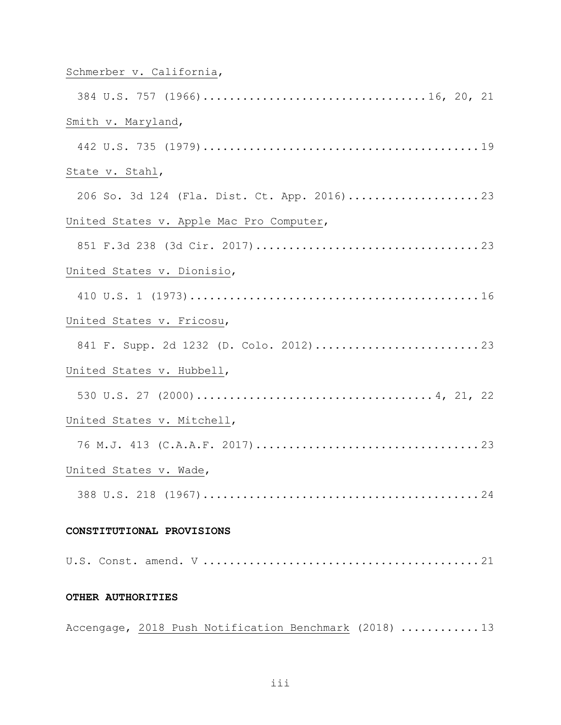# Schmerber v. California,

| Smith v. Maryland,                                     |
|--------------------------------------------------------|
|                                                        |
| State v. Stahl,                                        |
| 206 So. 3d 124 (Fla. Dist. Ct. App. 2016)23            |
| United States v. Apple Mac Pro Computer,               |
|                                                        |
| United States v. Dionisio,                             |
|                                                        |
| United States v. Fricosu,                              |
|                                                        |
| United States v. Hubbell,                              |
|                                                        |
| United States v. Mitchell,                             |
|                                                        |
| United States v. Wade,                                 |
|                                                        |
| CONSTITUTIONAL PROVISIONS                              |
|                                                        |
|                                                        |
| OTHER AUTHORITIES                                      |
| Accengage, 2018 Push Notification Benchmark (2018)  13 |

iii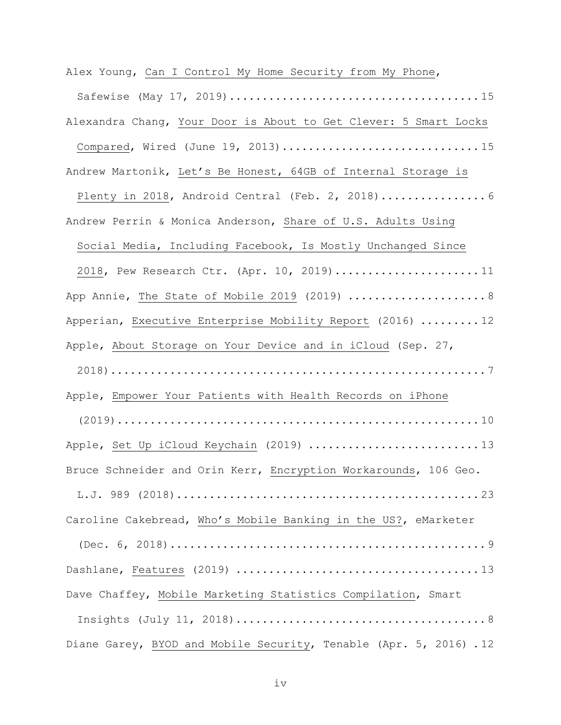Alex Young, Can I Control My Home Security from My Phone, Safewise (May 17, 2019)...................................... 15 Alexandra Chang, Your Door is About to Get Clever: 5 Smart Locks Compared, Wired (June 19, 2013)................................15 Andrew Martonik, Let's Be Honest, 64GB of Internal Storage is Plenty in 2018, Android Central (Feb. 2, 2018)........................ 6 Andrew Perrin & Monica Anderson, Share of U.S. Adults Using Social Media, Including Facebook, Is Mostly Unchanged Since 2018, Pew Research Ctr. (Apr. 10, 2019).......................11 App Annie, The State of Mobile 2019 (2019) ........................ 8 Apperian, Executive Enterprise Mobility Report (2016) ......... 12 Apple, About Storage on Your Device and in iCloud (Sep. 27, 2018)......................................................... 7 Apple, Empower Your Patients with Health Records on iPhone (2019)....................................................... 10 Apple, Set Up iCloud Keychain (2019) ..............................13 Bruce Schneider and Orin Kerr, Encryption Workarounds, 106 Geo. L.J. 989 (2018).............................................. 23 Caroline Cakebread, Who's Mobile Banking in the US?, eMarketer (Dec. 6, 2018)................................................ 9 Dashlane, Features (2019) ..................................... 13 Dave Chaffey, Mobile Marketing Statistics Compilation, Smart Insights (July 11, 2018)...................................... 8 Diane Garey, BYOD and Mobile Security, Tenable (Apr. 5, 2016) . 12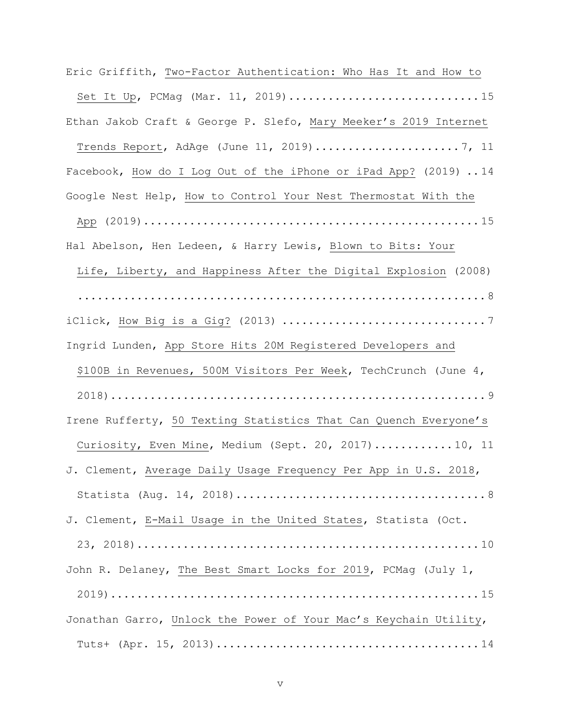Eric Griffith, Two-Factor Authentication: Who Has It and How to Set It Up, PCMag (Mar. 11, 2019).................................15 Ethan Jakob Craft & George P. Slefo, Mary Meeker's 2019 Internet Trends Report, AdAge (June 11, 2019)...................... 7, 11 Facebook, How do I Log Out of the iPhone or iPad App? (2019) .. 14 Google Nest Help, How to Control Your Nest Thermostat With the App (2019)................................................... 15 Hal Abelson, Hen Ledeen, & Harry Lewis, Blown to Bits: Your Life, Liberty, and Happiness After the Digital Explosion (2008) .............................................................. 8  $i$ Click, How Big is a Gig? (2013)  $\dots\dots\dots\dots\dots\dots\dots\dots\dots\dots\dots\dots$ Ingrid Lunden, App Store Hits 20M Registered Developers and \$100B in Revenues, 500M Visitors Per Week, TechCrunch (June 4, 2018)......................................................... 9 Irene Rufferty, 50 Texting Statistics That Can Quench Everyone's Curiosity, Even Mine, Medium (Sept. 20, 2017)............ 10, 11 J. Clement, Average Daily Usage Frequency Per App in U.S. 2018, Statista (Aug. 14, 2018)...................................... 8 J. Clement, E-Mail Usage in the United States, Statista (Oct. 23, 2018).................................................... 10 John R. Delaney, The Best Smart Locks for 2019, PCMag (July 1, 2019)........................................................ 15 Jonathan Garro, Unlock the Power of Your Mac's Keychain Utility, Tuts+ (Apr. 15, 2013)........................................ 14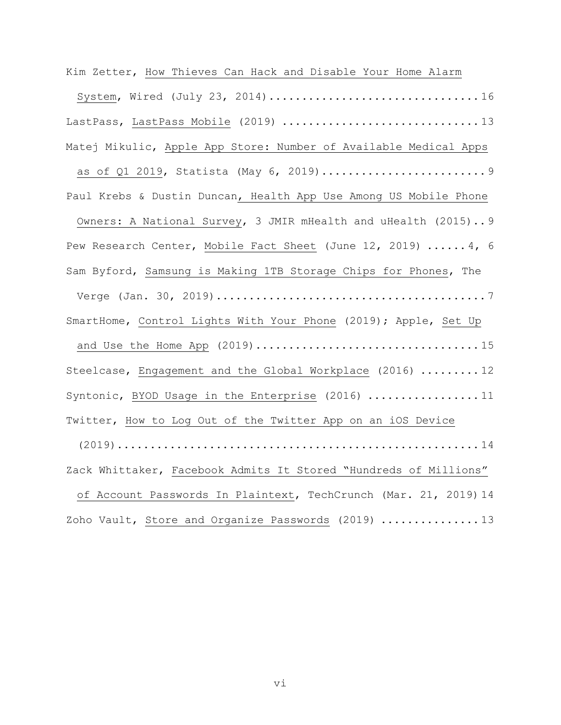Kim Zetter, How Thieves Can Hack and Disable Your Home Alarm System, Wired (July 23, 2014)................................ 16 LastPass, LastPass Mobile (2019) ..................................13 Matej Mikulic, Apple App Store: Number of Available Medical Apps as of Q1 2019, Statista (May 6, 2019)......................... 9 Paul Krebs & Dustin Duncan, Health App Use Among US Mobile Phone Owners: A National Survey, 3 JMIR mHealth and uHealth (2015).. 9 Pew Research Center, Mobile Fact Sheet (June 12, 2019) ...... 4, 6 Sam Byford, Samsung is Making 1TB Storage Chips for Phones, The Verge (Jan. 30, 2019)......................................... 7 SmartHome, Control Lights With Your Phone (2019); Apple, Set Up and Use the Home App (2019).................................. 15 Steelcase, Engagement and the Global Workplace (2016) ......... 12 Syntonic, BYOD Usage in the Enterprise (2016) ..................11 Twitter, How to Log Out of the Twitter App on an iOS Device (2019)....................................................... 14 Zack Whittaker, Facebook Admits It Stored "Hundreds of Millions" of Account Passwords In Plaintext, TechCrunch (Mar. 21, 2019) 14 Zoho Vault, Store and Organize Passwords (2019) ............... 13

vi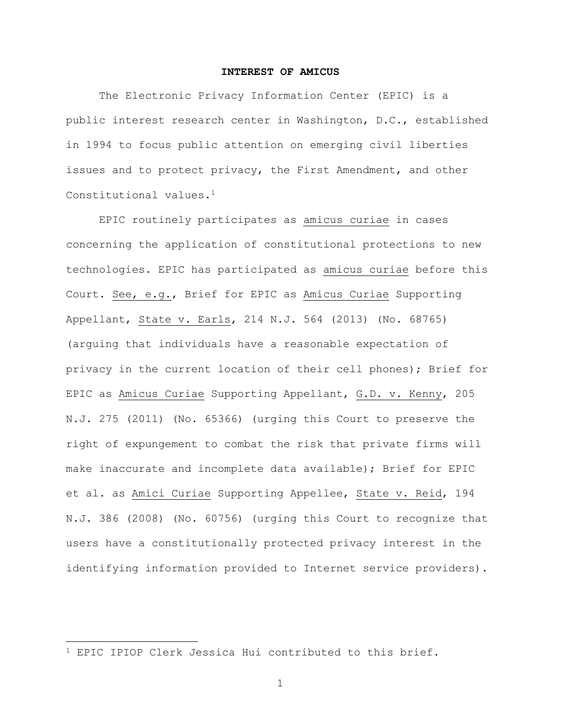### **INTEREST OF AMICUS**

The Electronic Privacy Information Center (EPIC) is a public interest research center in Washington, D.C., established in 1994 to focus public attention on emerging civil liberties issues and to protect privacy, the First Amendment, and other Constitutional values.<sup>1</sup>

EPIC routinely participates as amicus curiae in cases concerning the application of constitutional protections to new technologies. EPIC has participated as amicus curiae before this Court. See, e.g., Brief for EPIC as Amicus Curiae Supporting Appellant, State v. Earls, 214 N.J. 564 (2013) (No. 68765) (arguing that individuals have a reasonable expectation of privacy in the current location of their cell phones); Brief for EPIC as Amicus Curiae Supporting Appellant, G.D. v. Kenny, 205 N.J. 275 (2011) (No. 65366) (urging this Court to preserve the right of expungement to combat the risk that private firms will make inaccurate and incomplete data available); Brief for EPIC et al. as Amici Curiae Supporting Appellee, State v. Reid, 194 N.J. 386 (2008) (No. 60756) (urging this Court to recognize that users have a constitutionally protected privacy interest in the identifying information provided to Internet service providers).

<sup>1</sup> EPIC IPIOP Clerk Jessica Hui contributed to this brief.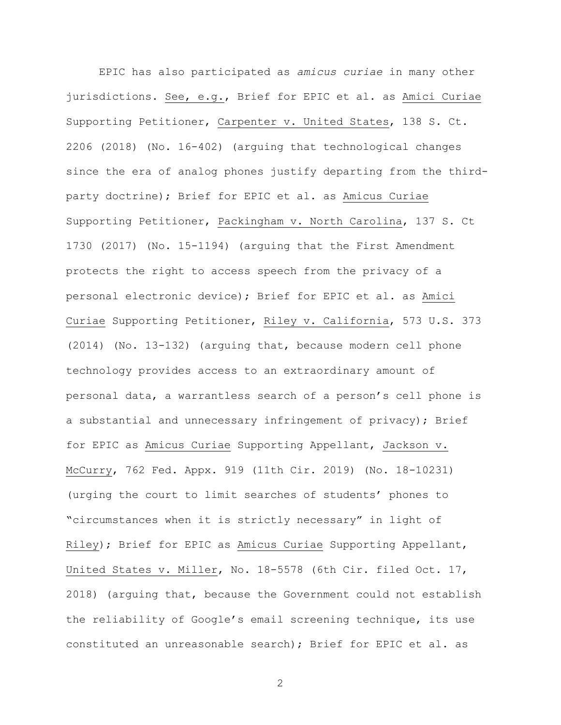EPIC has also participated as *amicus curiae* in many other jurisdictions. See, e.g., Brief for EPIC et al. as Amici Curiae Supporting Petitioner, Carpenter v. United States, 138 S. Ct. 2206 (2018) (No. 16-402) (arguing that technological changes since the era of analog phones justify departing from the thirdparty doctrine); Brief for EPIC et al. as Amicus Curiae Supporting Petitioner, Packingham v. North Carolina, 137 S. Ct 1730 (2017) (No. 15-1194) (arguing that the First Amendment protects the right to access speech from the privacy of a personal electronic device); Brief for EPIC et al. as Amici Curiae Supporting Petitioner, Riley v. California, 573 U.S. 373 (2014) (No. 13-132) (arguing that, because modern cell phone technology provides access to an extraordinary amount of personal data, a warrantless search of a person's cell phone is a substantial and unnecessary infringement of privacy); Brief for EPIC as Amicus Curiae Supporting Appellant, Jackson v. McCurry, 762 Fed. Appx. 919 (11th Cir. 2019) (No. 18-10231) (urging the court to limit searches of students' phones to "circumstances when it is strictly necessary" in light of Riley); Brief for EPIC as Amicus Curiae Supporting Appellant, United States v. Miller, No. 18-5578 (6th Cir. filed Oct. 17, 2018) (arguing that, because the Government could not establish the reliability of Google's email screening technique, its use constituted an unreasonable search); Brief for EPIC et al. as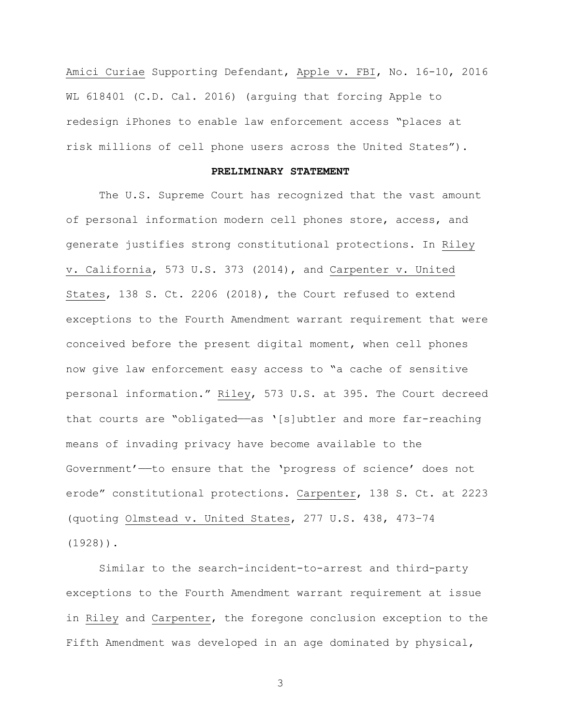Amici Curiae Supporting Defendant, Apple v. FBI, No. 16-10, 2016 WL 618401 (C.D. Cal. 2016) (arguing that forcing Apple to redesign iPhones to enable law enforcement access "places at risk millions of cell phone users across the United States").

## **PRELIMINARY STATEMENT**

The U.S. Supreme Court has recognized that the vast amount of personal information modern cell phones store, access, and generate justifies strong constitutional protections. In Riley v. California, 573 U.S. 373 (2014), and Carpenter v. United States, 138 S. Ct. 2206 (2018), the Court refused to extend exceptions to the Fourth Amendment warrant requirement that were conceived before the present digital moment, when cell phones now give law enforcement easy access to "a cache of sensitive personal information." Riley, 573 U.S. at 395. The Court decreed that courts are "obligated-as '[s]ubtler and more far-reaching means of invading privacy have become available to the Government'——to ensure that the 'progress of science' does not erode" constitutional protections. Carpenter, 138 S. Ct. at 2223 (quoting Olmstead v. United States, 277 U.S. 438, 473–74 (1928)).

Similar to the search-incident-to-arrest and third-party exceptions to the Fourth Amendment warrant requirement at issue in Riley and Carpenter, the foregone conclusion exception to the Fifth Amendment was developed in an age dominated by physical,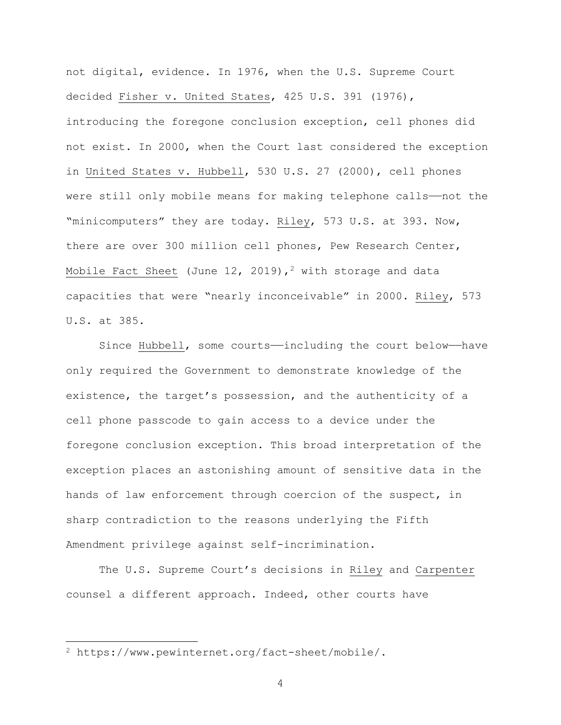not digital, evidence. In 1976, when the U.S. Supreme Court decided Fisher v. United States, 425 U.S. 391 (1976), introducing the foregone conclusion exception, cell phones did not exist. In 2000, when the Court last considered the exception in United States v. Hubbell, 530 U.S. 27 (2000), cell phones were still only mobile means for making telephone calls——not the "minicomputers" they are today. Riley, 573 U.S. at 393. Now, there are over 300 million cell phones, Pew Research Center, Mobile Fact Sheet (June 12, 2019),<sup>2</sup> with storage and data capacities that were "nearly inconceivable" in 2000. Riley, 573 U.S. at 385.

Since Hubbell, some courts--including the court below-have only required the Government to demonstrate knowledge of the existence, the target's possession, and the authenticity of a cell phone passcode to gain access to a device under the foregone conclusion exception. This broad interpretation of the exception places an astonishing amount of sensitive data in the hands of law enforcement through coercion of the suspect, in sharp contradiction to the reasons underlying the Fifth Amendment privilege against self-incrimination.

The U.S. Supreme Court's decisions in Riley and Carpenter counsel a different approach. Indeed, other courts have

<sup>2</sup> https://www.pewinternet.org/fact-sheet/mobile/.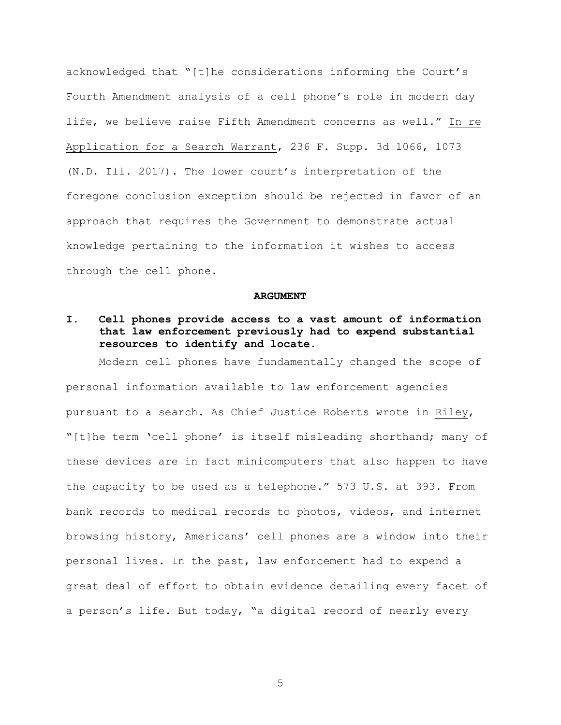acknowledged that "[t]he considerations informing the Court's Fourth Amendment analysis of a cell phone's role in modern day life, we believe raise Fifth Amendment concerns as well." In re Application for a Search Warrant, 236 F. Supp. 3d 1066, 1073 (N.D. Ill. 2017). The lower court's interpretation of the foregone conclusion exception should be rejected in favor of an approach that requires the Government to demonstrate actual knowledge pertaining to the information it wishes to access through the cell phone.

#### **ARGUMENT**

# **I. Cell phones provide access to a vast amount of information that law enforcement previously had to expend substantial resources to identify and locate.**

Modern cell phones have fundamentally changed the scope of personal information available to law enforcement agencies pursuant to a search. As Chief Justice Roberts wrote in Riley, "[t]he term 'cell phone' is itself misleading shorthand; many of these devices are in fact minicomputers that also happen to have the capacity to be used as a telephone." 573 U.S. at 393. From bank records to medical records to photos, videos, and internet browsing history, Americans' cell phones are a window into their personal lives. In the past, law enforcement had to expend a great deal of effort to obtain evidence detailing every facet of a person's life. But today, "a digital record of nearly every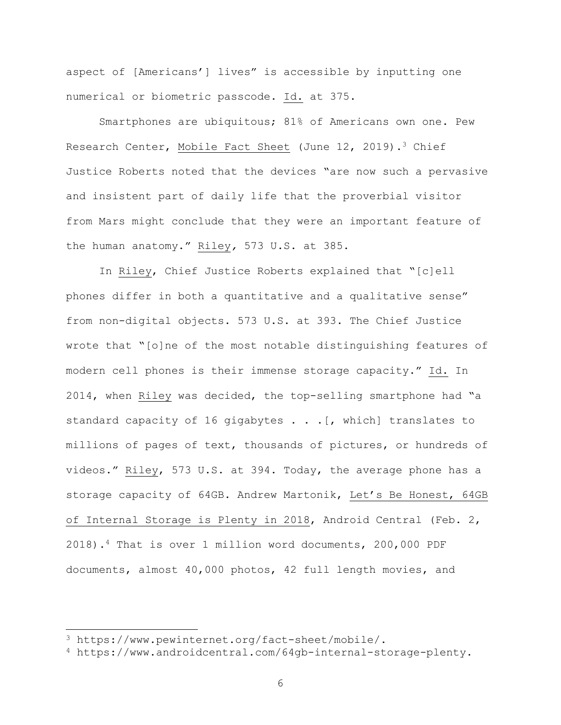aspect of [Americans'] lives" is accessible by inputting one numerical or biometric passcode. Id. at 375.

Smartphones are ubiquitous; 81% of Americans own one. Pew Research Center, Mobile Fact Sheet (June 12, 2019).<sup>3</sup> Chief Justice Roberts noted that the devices "are now such a pervasive and insistent part of daily life that the proverbial visitor from Mars might conclude that they were an important feature of the human anatomy." Riley*,* 573 U.S. at 385.

In Riley, Chief Justice Roberts explained that "[c]ell phones differ in both a quantitative and a qualitative sense" from non-digital objects. 573 U.S. at 393. The Chief Justice wrote that "[o]ne of the most notable distinguishing features of modern cell phones is their immense storage capacity." Id. In 2014, when Riley was decided, the top-selling smartphone had "a standard capacity of 16 gigabytes . . .[, which] translates to millions of pages of text, thousands of pictures, or hundreds of videos." Riley, 573 U.S. at 394. Today, the average phone has a storage capacity of 64GB. Andrew Martonik, Let's Be Honest, 64GB of Internal Storage is Plenty in 2018, Android Central (Feb. 2, 2018).4 That is over 1 million word documents, 200,000 PDF documents, almost 40,000 photos, 42 full length movies, and

<sup>3</sup> https://www.pewinternet.org/fact-sheet/mobile/.

<sup>4</sup> https://www.androidcentral.com/64gb-internal-storage-plenty.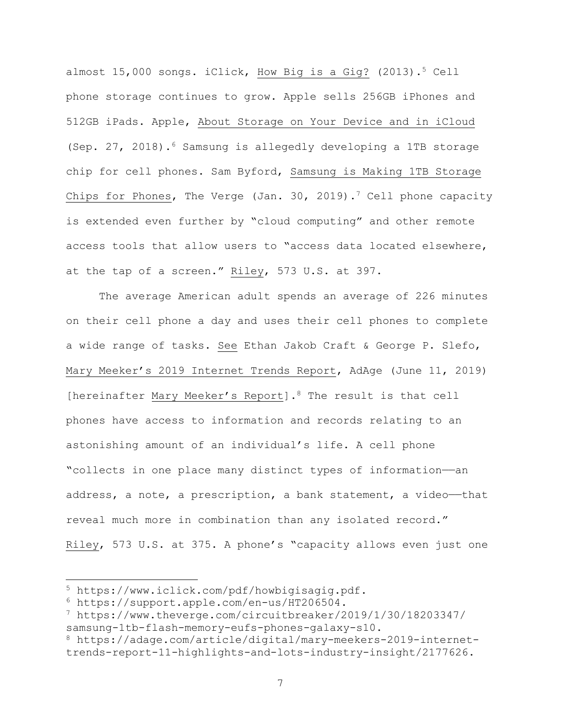almost  $15,000$  songs. iClick, How Big is a Gig? (2013).<sup>5</sup> Cell phone storage continues to grow. Apple sells 256GB iPhones and 512GB iPads. Apple, About Storage on Your Device and in iCloud (Sep. 27, 2018).<sup>6</sup> Samsung is allegedly developing a 1TB storage chip for cell phones. Sam Byford, Samsung is Making 1TB Storage Chips for Phones, The Verge (Jan. 30, 2019).<sup>7</sup> Cell phone capacity is extended even further by "cloud computing" and other remote access tools that allow users to "access data located elsewhere, at the tap of a screen." Riley, 573 U.S. at 397.

The average American adult spends an average of 226 minutes on their cell phone a day and uses their cell phones to complete a wide range of tasks. See Ethan Jakob Craft & George P. Slefo, Mary Meeker's 2019 Internet Trends Report, AdAge (June 11, 2019) [hereinafter Mary Meeker's Report].<sup>8</sup> The result is that cell phones have access to information and records relating to an astonishing amount of an individual's life. A cell phone "collects in one place many distinct types of information——an address, a note, a prescription, a bank statement, a video-that reveal much more in combination than any isolated record." Riley, 573 U.S. at 375. A phone's "capacity allows even just one

<sup>5</sup> https://www.iclick.com/pdf/howbigisagig.pdf.

<sup>6</sup> https://support.apple.com/en-us/HT206504.

<sup>7</sup> https://www.theverge.com/circuitbreaker/2019/1/30/18203347/ samsung-1tb-flash-memory-eufs-phones-galaxy-s10.

<sup>8</sup> https://adage.com/article/digital/mary-meekers-2019-internettrends-report-11-highlights-and-lots-industry-insight/2177626.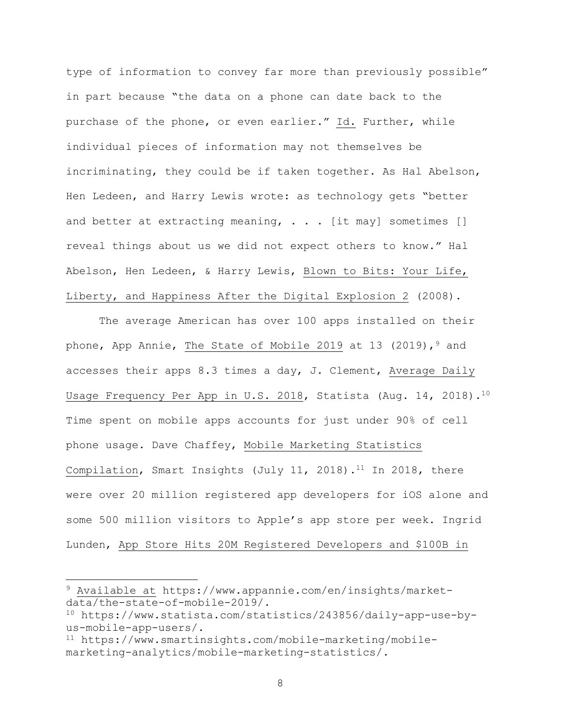type of information to convey far more than previously possible" in part because "the data on a phone can date back to the purchase of the phone, or even earlier." Id. Further, while individual pieces of information may not themselves be incriminating, they could be if taken together. As Hal Abelson, Hen Ledeen, and Harry Lewis wrote: as technology gets "better and better at extracting meaning,  $\ldots$  [it may] sometimes [] reveal things about us we did not expect others to know." Hal Abelson, Hen Ledeen, & Harry Lewis, Blown to Bits: Your Life, Liberty, and Happiness After the Digital Explosion 2 (2008).

The average American has over 100 apps installed on their phone, App Annie, The State of Mobile 2019 at 13 (2019),  $9$  and accesses their apps 8.3 times a day, J. Clement, Average Daily Usage Frequency Per App in U.S. 2018, Statista (Aug. 14, 2018).<sup>10</sup> Time spent on mobile apps accounts for just under 90% of cell phone usage. Dave Chaffey, Mobile Marketing Statistics Compilation, Smart Insights (July 11, 2018).<sup>11</sup> In 2018, there were over 20 million registered app developers for iOS alone and some 500 million visitors to Apple's app store per week. Ingrid Lunden, App Store Hits 20M Registered Developers and \$100B in

<sup>9</sup> Available at https://www.appannie.com/en/insights/marketdata/the-state-of-mobile-2019/.

<sup>10</sup> https://www.statista.com/statistics/243856/daily-app-use-byus-mobile-app-users/.

<sup>11</sup> https://www.smartinsights.com/mobile-marketing/mobilemarketing-analytics/mobile-marketing-statistics/.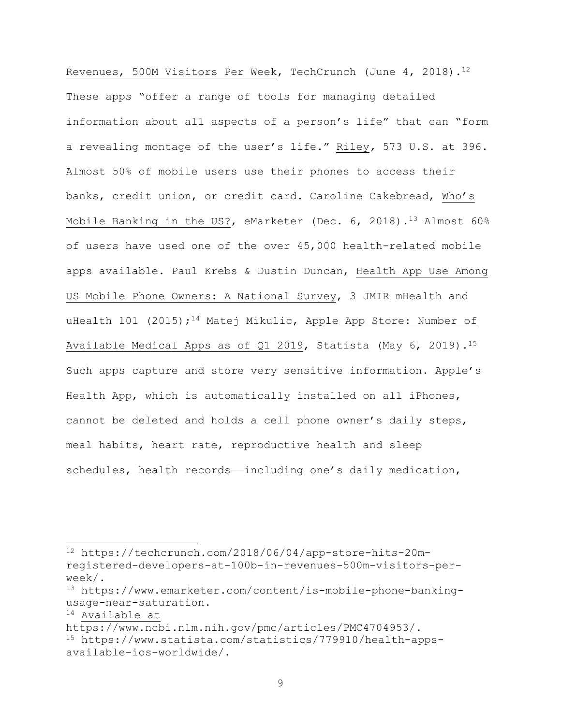Revenues, 500M Visitors Per Week, TechCrunch (June 4, 2018).<sup>12</sup> These apps "offer a range of tools for managing detailed information about all aspects of a person's life" that can "form a revealing montage of the user's life." Riley*,* 573 U.S. at 396. Almost 50% of mobile users use their phones to access their banks, credit union, or credit card. Caroline Cakebread, Who's Mobile Banking in the US?, eMarketer (Dec. 6, 2018).<sup>13</sup> Almost 60% of users have used one of the over 45,000 health-related mobile apps available. Paul Krebs & Dustin Duncan, Health App Use Among US Mobile Phone Owners: A National Survey, 3 JMIR mHealth and uHealth 101 (2015);<sup>14</sup> Matej Mikulic, Apple App Store: Number of Available Medical Apps as of Q1 2019, Statista (May 6, 2019).15 Such apps capture and store very sensitive information. Apple's Health App, which is automatically installed on all iPhones, cannot be deleted and holds a cell phone owner's daily steps, meal habits, heart rate, reproductive health and sleep schedules, health records—including one's daily medication,

<sup>12</sup> https://techcrunch.com/2018/06/04/app-store-hits-20mregistered-developers-at-100b-in-revenues-500m-visitors-perweek/.

<sup>13</sup> https://www.emarketer.com/content/is-mobile-phone-bankingusage-near-saturation.

<sup>14</sup> Available at

https://www.ncbi.nlm.nih.gov/pmc/articles/PMC4704953/.

<sup>15</sup> https://www.statista.com/statistics/779910/health-appsavailable-ios-worldwide/.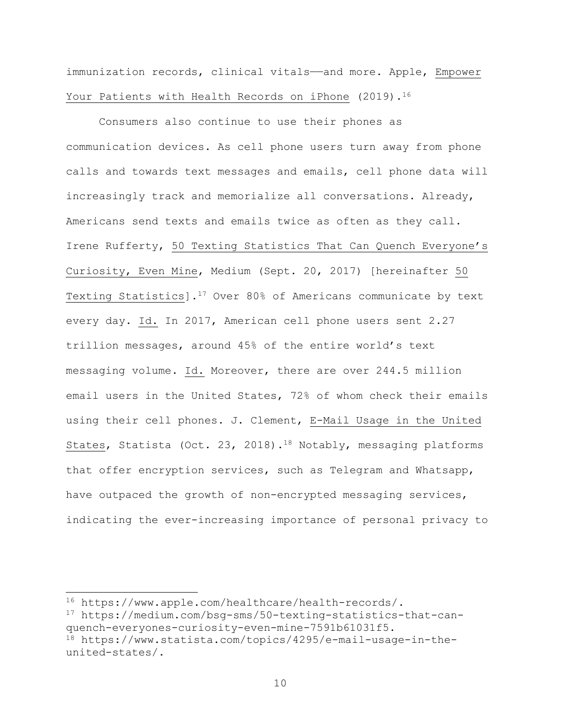immunization records, clinical vitals—and more. Apple, Empower Your Patients with Health Records on iPhone (2019).<sup>16</sup>

Consumers also continue to use their phones as communication devices. As cell phone users turn away from phone calls and towards text messages and emails, cell phone data will increasingly track and memorialize all conversations. Already, Americans send texts and emails twice as often as they call. Irene Rufferty, 50 Texting Statistics That Can Quench Everyone's Curiosity, Even Mine, Medium (Sept. 20, 2017) [hereinafter 50 Texting Statistics].17 Over 80% of Americans communicate by text every day. Id. In 2017, American cell phone users sent 2.27 trillion messages, around 45% of the entire world's text messaging volume. Id. Moreover, there are over 244.5 million email users in the United States, 72% of whom check their emails using their cell phones. J. Clement, E-Mail Usage in the United States, Statista (Oct. 23, 2018).<sup>18</sup> Notably, messaging platforms that offer encryption services, such as Telegram and Whatsapp, have outpaced the growth of non-encrypted messaging services, indicating the ever-increasing importance of personal privacy to

<sup>16</sup> https://www.apple.com/healthcare/health-records/.

<sup>17</sup> https://medium.com/bsg-sms/50-texting-statistics-that-canquench-everyones-curiosity-even-mine-7591b61031f5.

<sup>18</sup> https://www.statista.com/topics/4295/e-mail-usage-in-theunited-states/.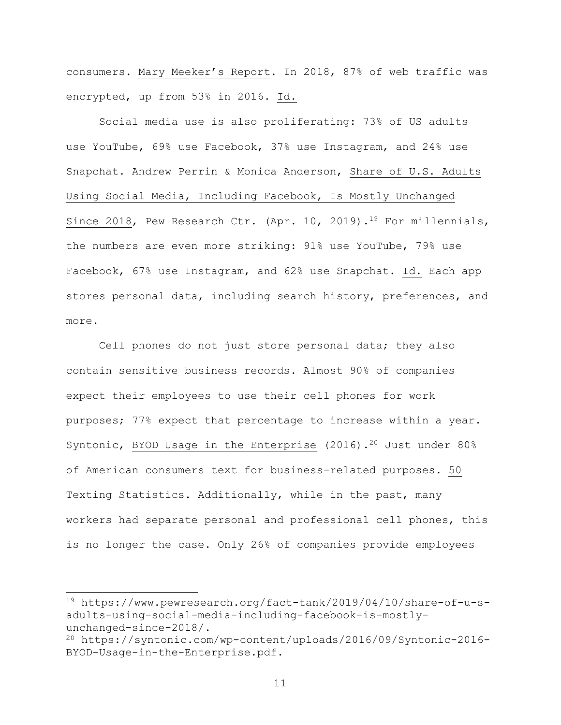consumers. Mary Meeker's Report. In 2018, 87% of web traffic was encrypted, up from 53% in 2016. Id.

Social media use is also proliferating: 73% of US adults use YouTube, 69% use Facebook, 37% use Instagram, and 24% use Snapchat. Andrew Perrin & Monica Anderson, Share of U.S. Adults Using Social Media, Including Facebook, Is Mostly Unchanged Since 2018, Pew Research Ctr. (Apr. 10, 2019).<sup>19</sup> For millennials, the numbers are even more striking: 91% use YouTube, 79% use Facebook, 67% use Instagram, and 62% use Snapchat. Id. Each app stores personal data, including search history, preferences, and more.

Cell phones do not just store personal data; they also contain sensitive business records. Almost 90% of companies expect their employees to use their cell phones for work purposes; 77% expect that percentage to increase within a year. Syntonic, BYOD Usage in the Enterprise (2016).<sup>20</sup> Just under 80% of American consumers text for business-related purposes. 50 Texting Statistics. Additionally, while in the past, many workers had separate personal and professional cell phones, this is no longer the case. Only 26% of companies provide employees

<sup>19</sup> https://www.pewresearch.org/fact-tank/2019/04/10/share-of-u-sadults-using-social-media-including-facebook-is-mostlyunchanged-since-2018/.

<sup>20</sup> https://syntonic.com/wp-content/uploads/2016/09/Syntonic-2016- BYOD-Usage-in-the-Enterprise.pdf.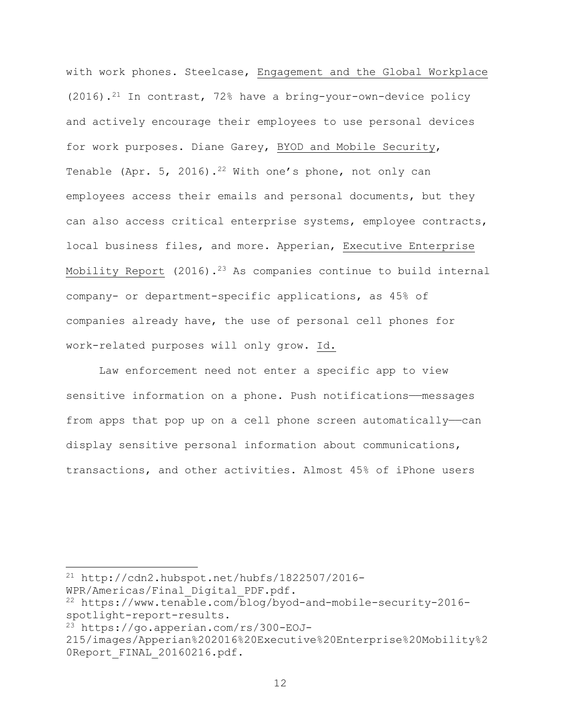with work phones. Steelcase, Engagement and the Global Workplace  $(2016)$ .<sup>21</sup> In contrast, 72% have a bring-your-own-device policy and actively encourage their employees to use personal devices for work purposes. Diane Garey, BYOD and Mobile Security, Tenable (Apr. 5, 2016).<sup>22</sup> With one's phone, not only can employees access their emails and personal documents, but they can also access critical enterprise systems, employee contracts, local business files, and more. Apperian, Executive Enterprise Mobility Report (2016).<sup>23</sup> As companies continue to build internal company- or department-specific applications, as 45% of companies already have, the use of personal cell phones for work-related purposes will only grow. Id.

Law enforcement need not enter a specific app to view sensitive information on a phone. Push notifications—messages from apps that pop up on a cell phone screen automatically—can display sensitive personal information about communications, transactions, and other activities. Almost 45% of iPhone users

 $21$  http://cdn2.hubspot.net/hubfs/1822507/2016-

WPR/Americas/Final\_Digital\_PDF.pdf.

<sup>22</sup> https://www.tenable.com/blog/byod-and-mobile-security-2016 spotlight-report-results.

<sup>23</sup> https://go.apperian.com/rs/300-EOJ-

<sup>215/</sup>images/Apperian%202016%20Executive%20Enterprise%20Mobility%2 0Report FINAL 20160216.pdf.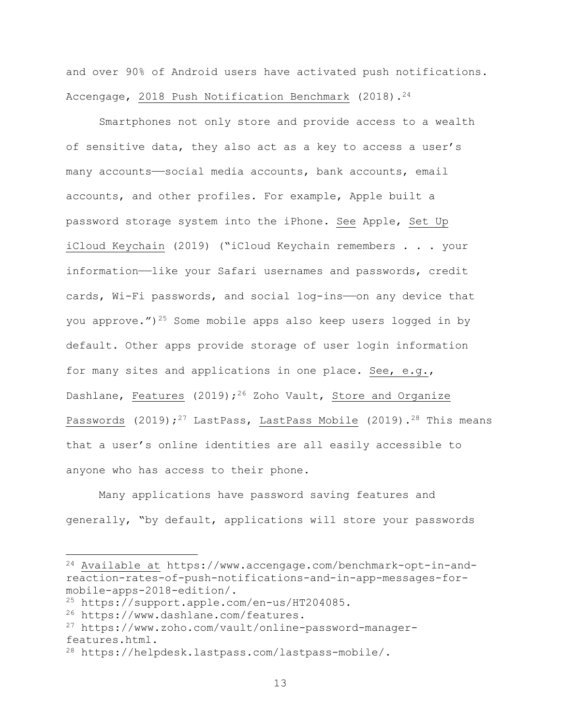and over 90% of Android users have activated push notifications. Accengage, 2018 Push Notification Benchmark (2018).<sup>24</sup>

Smartphones not only store and provide access to a wealth of sensitive data, they also act as a key to access a user's many accounts——social media accounts, bank accounts, email accounts, and other profiles. For example, Apple built a password storage system into the iPhone. See Apple, Set Up iCloud Keychain (2019) ("iCloud Keychain remembers . . . your information—like your Safari usernames and passwords, credit cards, Wi-Fi passwords, and social log-ins—on any device that you approve.")<sup>25</sup> Some mobile apps also keep users logged in by default. Other apps provide storage of user login information for many sites and applications in one place. See, e.g., Dashlane, Features (2019);<sup>26</sup> Zoho Vault, Store and Organize Passwords (2019);<sup>27</sup> LastPass, LastPass Mobile (2019).<sup>28</sup> This means that a user's online identities are all easily accessible to anyone who has access to their phone.

Many applications have password saving features and generally, "by default, applications will store your passwords

<sup>24</sup> Available at https://www.accengage.com/benchmark-opt-in-andreaction-rates-of-push-notifications-and-in-app-messages-formobile-apps-2018-edition/.

<sup>25</sup> https://support.apple.com/en-us/HT204085.

<sup>26</sup> https://www.dashlane.com/features.

<sup>27</sup> https://www.zoho.com/vault/online-password-managerfeatures.html.

<sup>28</sup> https://helpdesk.lastpass.com/lastpass-mobile/.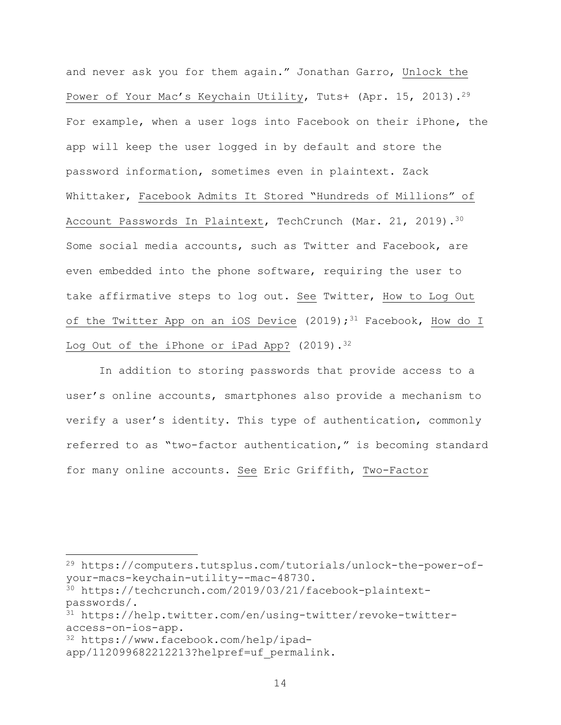and never ask you for them again." Jonathan Garro, Unlock the Power of Your Mac's Keychain Utility, Tuts+ (Apr. 15, 2013).<sup>29</sup> For example, when a user logs into Facebook on their iPhone, the app will keep the user logged in by default and store the password information, sometimes even in plaintext. Zack Whittaker, Facebook Admits It Stored "Hundreds of Millions" of Account Passwords In Plaintext, TechCrunch (Mar. 21, 2019).<sup>30</sup> Some social media accounts, such as Twitter and Facebook, are even embedded into the phone software, requiring the user to take affirmative steps to log out. See Twitter, How to Log Out of the Twitter App on an iOS Device (2019);<sup>31</sup> Facebook, How do I Log Out of the iPhone or iPad App? (2019).<sup>32</sup>

In addition to storing passwords that provide access to a user's online accounts, smartphones also provide a mechanism to verify a user's identity. This type of authentication, commonly referred to as "two-factor authentication," is becoming standard for many online accounts. See Eric Griffith, Two-Factor

<sup>29</sup> https://computers.tutsplus.com/tutorials/unlock-the-power-ofyour-macs-keychain-utility--mac-48730.

<sup>30</sup> https://techcrunch.com/2019/03/21/facebook-plaintextpasswords/.

<sup>31</sup> https://help.twitter.com/en/using-twitter/revoke-twitteraccess-on-ios-app.

<sup>32</sup> https://www.facebook.com/help/ipad-

app/112099682212213?helpref=uf permalink.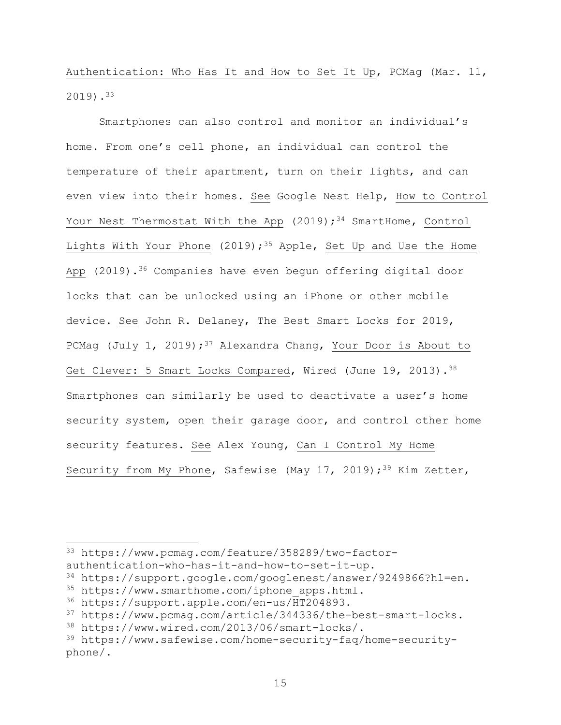Authentication: Who Has It and How to Set It Up, PCMag (Mar. 11, 2019).33

Smartphones can also control and monitor an individual's home. From one's cell phone, an individual can control the temperature of their apartment, turn on their lights, and can even view into their homes. See Google Nest Help, How to Control Your Nest Thermostat With the App  $(2019)$ ; <sup>34</sup> SmartHome, Control Lights With Your Phone (2019);<sup>35</sup> Apple, Set Up and Use the Home App (2019).<sup>36</sup> Companies have even begun offering digital door locks that can be unlocked using an iPhone or other mobile device. See John R. Delaney, The Best Smart Locks for 2019, PCMag (July 1, 2019);<sup>37</sup> Alexandra Chang, Your Door is About to Get Clever: 5 Smart Locks Compared, Wired (June 19, 2013).<sup>38</sup> Smartphones can similarly be used to deactivate a user's home security system, open their garage door, and control other home security features. See Alex Young, Can I Control My Home Security from My Phone, Safewise (May 17, 2019);<sup>39</sup> Kim Zetter,

<sup>33</sup> https://www.pcmag.com/feature/358289/two-factorauthentication-who-has-it-and-how-to-set-it-up.

<sup>34</sup> https://support.google.com/googlenest/answer/9249866?hl=en.

<sup>35</sup> https://www.smarthome.com/iphone\_apps.html.

<sup>36</sup> https://support.apple.com/en-us/HT204893.

<sup>37</sup> https://www.pcmag.com/article/344336/the-best-smart-locks.

<sup>38</sup> https://www.wired.com/2013/06/smart-locks/.

<sup>39</sup> https://www.safewise.com/home-security-faq/home-securityphone/.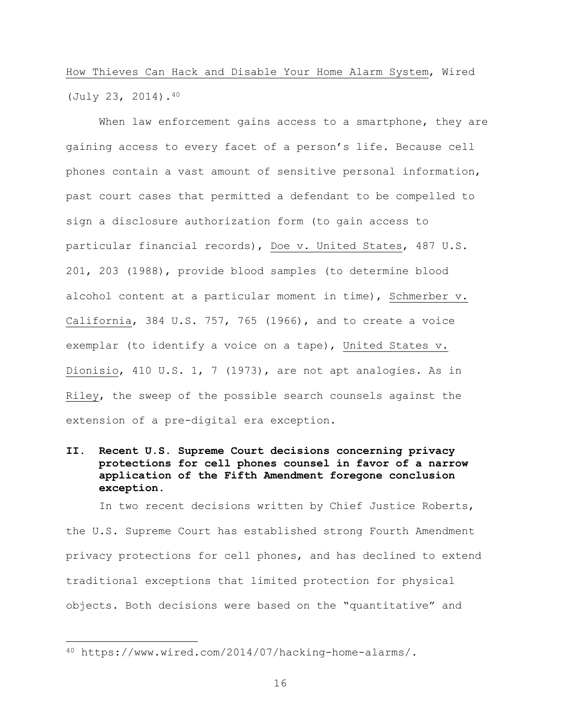# How Thieves Can Hack and Disable Your Home Alarm System, Wired (July 23, 2014).40

When law enforcement gains access to a smartphone, they are gaining access to every facet of a person's life. Because cell phones contain a vast amount of sensitive personal information, past court cases that permitted a defendant to be compelled to sign a disclosure authorization form (to gain access to particular financial records), Doe v. United States, 487 U.S. 201, 203 (1988), provide blood samples (to determine blood alcohol content at a particular moment in time), Schmerber v. California, 384 U.S. 757, 765 (1966), and to create a voice exemplar (to identify a voice on a tape), United States v. Dionisio, 410 U.S. 1, 7 (1973), are not apt analogies. As in Riley, the sweep of the possible search counsels against the extension of a pre-digital era exception.

# **II. Recent U.S. Supreme Court decisions concerning privacy protections for cell phones counsel in favor of a narrow application of the Fifth Amendment foregone conclusion exception.**

In two recent decisions written by Chief Justice Roberts, the U.S. Supreme Court has established strong Fourth Amendment privacy protections for cell phones, and has declined to extend traditional exceptions that limited protection for physical objects. Both decisions were based on the "quantitative" and

<sup>40</sup> https://www.wired.com/2014/07/hacking-home-alarms/.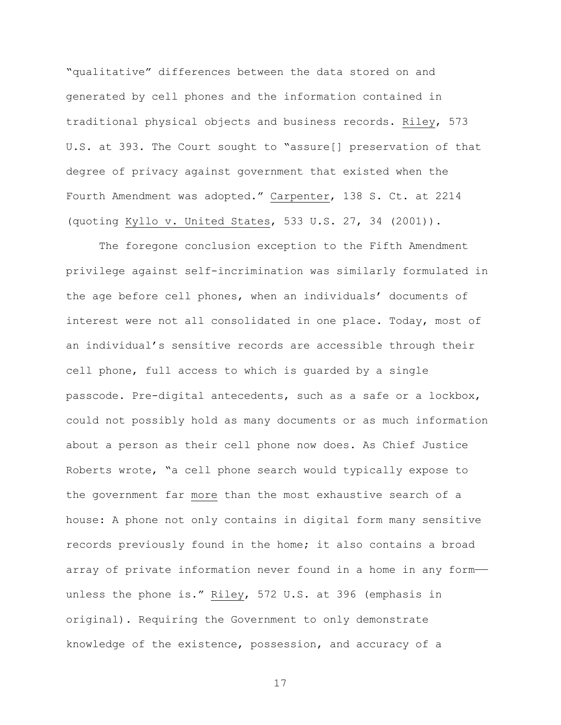"qualitative" differences between the data stored on and generated by cell phones and the information contained in traditional physical objects and business records. Riley, 573 U.S. at 393. The Court sought to "assure[] preservation of that degree of privacy against government that existed when the Fourth Amendment was adopted." Carpenter, 138 S. Ct. at 2214 (quoting Kyllo v. United States, 533 U.S. 27, 34 (2001)).

The foregone conclusion exception to the Fifth Amendment privilege against self-incrimination was similarly formulated in the age before cell phones, when an individuals' documents of interest were not all consolidated in one place. Today, most of an individual's sensitive records are accessible through their cell phone, full access to which is guarded by a single passcode. Pre-digital antecedents, such as a safe or a lockbox, could not possibly hold as many documents or as much information about a person as their cell phone now does. As Chief Justice Roberts wrote, "a cell phone search would typically expose to the government far more than the most exhaustive search of a house: A phone not only contains in digital form many sensitive records previously found in the home; it also contains a broad array of private information never found in a home in any form— unless the phone is." Riley, 572 U.S. at 396 (emphasis in original). Requiring the Government to only demonstrate knowledge of the existence, possession, and accuracy of a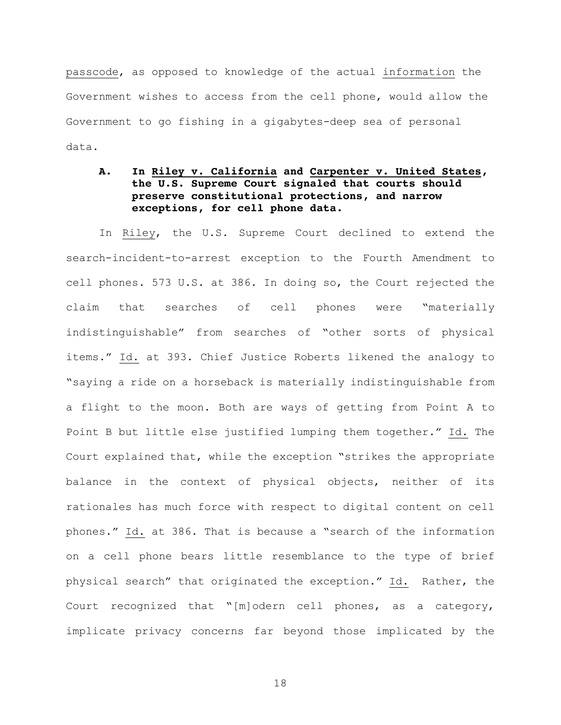passcode, as opposed to knowledge of the actual information the Government wishes to access from the cell phone, would allow the Government to go fishing in a gigabytes-deep sea of personal data.

# **A. In Riley v. California and Carpenter v. United States, the U.S. Supreme Court signaled that courts should preserve constitutional protections, and narrow exceptions, for cell phone data.**

In Riley, the U.S. Supreme Court declined to extend the search-incident-to-arrest exception to the Fourth Amendment to cell phones. 573 U.S. at 386. In doing so, the Court rejected the claim that searches of cell phones were "materially indistinguishable" from searches of "other sorts of physical items." Id. at 393. Chief Justice Roberts likened the analogy to "saying a ride on a horseback is materially indistinguishable from a flight to the moon. Both are ways of getting from Point A to Point B but little else justified lumping them together." Id. The Court explained that, while the exception "strikes the appropriate balance in the context of physical objects, neither of its rationales has much force with respect to digital content on cell phones." Id. at 386. That is because a "search of the information on a cell phone bears little resemblance to the type of brief physical search" that originated the exception." Id. Rather, the Court recognized that "[m]odern cell phones, as a category, implicate privacy concerns far beyond those implicated by the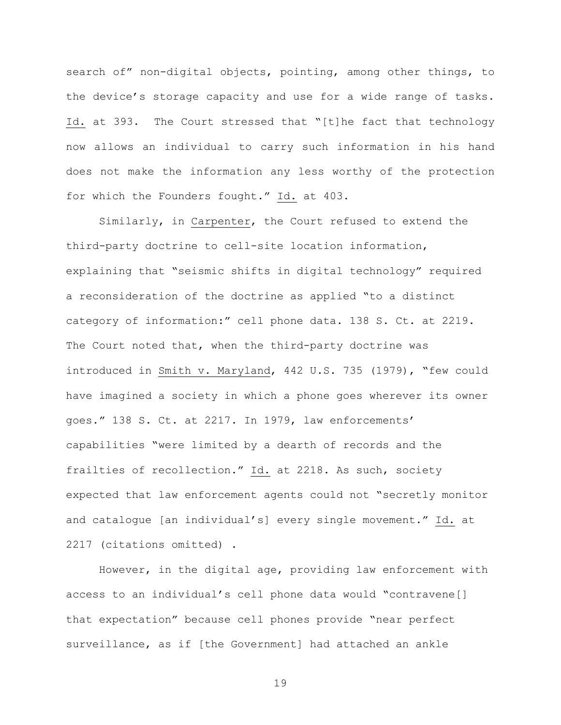search of" non-digital objects, pointing, among other things, to the device's storage capacity and use for a wide range of tasks. Id. at 393. The Court stressed that "[t]he fact that technology now allows an individual to carry such information in his hand does not make the information any less worthy of the protection for which the Founders fought." Id. at 403.

Similarly, in Carpenter, the Court refused to extend the third-party doctrine to cell-site location information, explaining that "seismic shifts in digital technology" required a reconsideration of the doctrine as applied "to a distinct category of information:" cell phone data. 138 S. Ct. at 2219. The Court noted that, when the third-party doctrine was introduced in Smith v. Maryland, 442 U.S. 735 (1979), "few could have imagined a society in which a phone goes wherever its owner goes." 138 S. Ct. at 2217. In 1979, law enforcements' capabilities "were limited by a dearth of records and the frailties of recollection." Id. at 2218. As such, society expected that law enforcement agents could not "secretly monitor and catalogue [an individual's] every single movement." Id. at 2217 (citations omitted) .

However, in the digital age, providing law enforcement with access to an individual's cell phone data would "contravene[] that expectation" because cell phones provide "near perfect surveillance, as if [the Government] had attached an ankle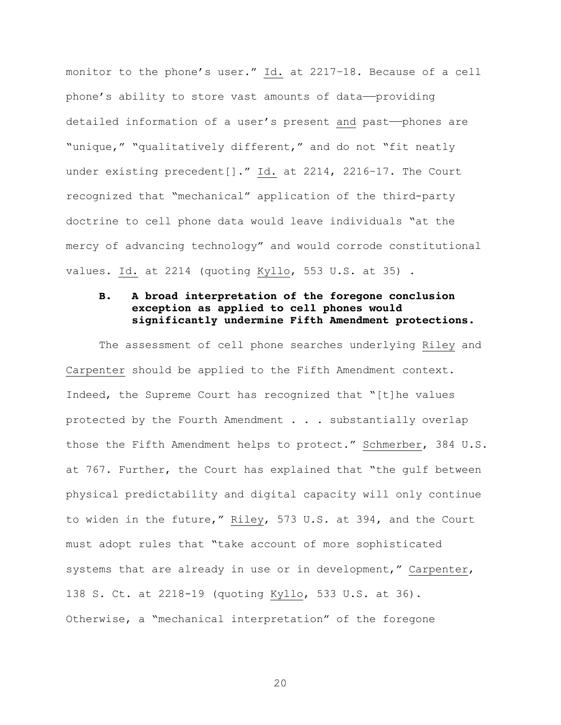monitor to the phone's user." Id. at 2217–18. Because of a cell phone's ability to store vast amounts of data-providing detailed information of a user's present and past——phones are "unique," "qualitatively different," and do not "fit neatly under existing precedent[]." Id. at 2214, 2216–17. The Court recognized that "mechanical" application of the third-party doctrine to cell phone data would leave individuals "at the mercy of advancing technology" and would corrode constitutional values. Id. at 2214 (quoting Kyllo, 553 U.S. at 35) .

## **B. A broad interpretation of the foregone conclusion exception as applied to cell phones would significantly undermine Fifth Amendment protections.**

The assessment of cell phone searches underlying Riley and Carpenter should be applied to the Fifth Amendment context. Indeed, the Supreme Court has recognized that "[t]he values protected by the Fourth Amendment . . . substantially overlap those the Fifth Amendment helps to protect." Schmerber, 384 U.S. at 767. Further, the Court has explained that "the gulf between physical predictability and digital capacity will only continue to widen in the future," Riley, 573 U.S. at 394, and the Court must adopt rules that "take account of more sophisticated systems that are already in use or in development," Carpenter, 138 S. Ct. at 2218-19 (quoting Kyllo, 533 U.S. at 36). Otherwise, a "mechanical interpretation" of the foregone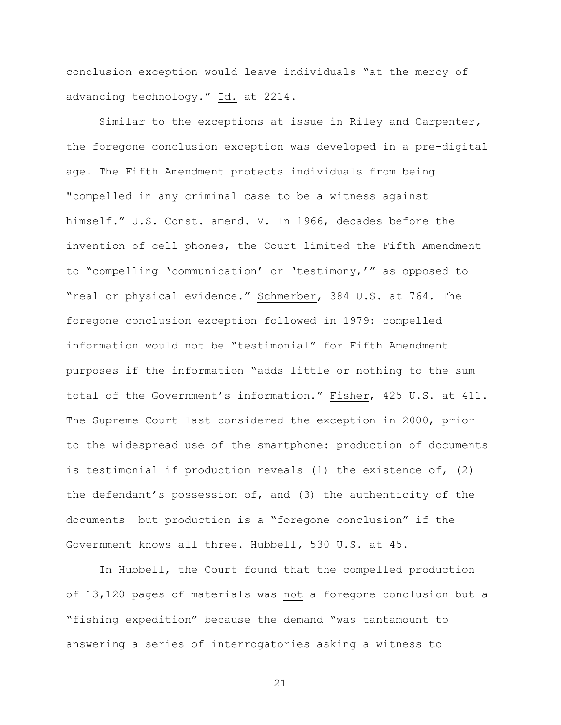conclusion exception would leave individuals "at the mercy of advancing technology." Id. at 2214.

Similar to the exceptions at issue in Riley and Carpenter*,*  the foregone conclusion exception was developed in a pre-digital age. The Fifth Amendment protects individuals from being "compelled in any criminal case to be a witness against himself." U.S. Const. amend. V. In 1966, decades before the invention of cell phones, the Court limited the Fifth Amendment to "compelling 'communication' or 'testimony,'" as opposed to "real or physical evidence." Schmerber, 384 U.S. at 764. The foregone conclusion exception followed in 1979: compelled information would not be "testimonial" for Fifth Amendment purposes if the information "adds little or nothing to the sum total of the Government's information." Fisher, 425 U.S. at 411. The Supreme Court last considered the exception in 2000, prior to the widespread use of the smartphone: production of documents is testimonial if production reveals (1) the existence of, (2) the defendant's possession of, and (3) the authenticity of the documents——but production is a "foregone conclusion" if the Government knows all three. Hubbell*,* 530 U.S. at 45.

In Hubbell, the Court found that the compelled production of 13,120 pages of materials was not a foregone conclusion but a "fishing expedition" because the demand "was tantamount to answering a series of interrogatories asking a witness to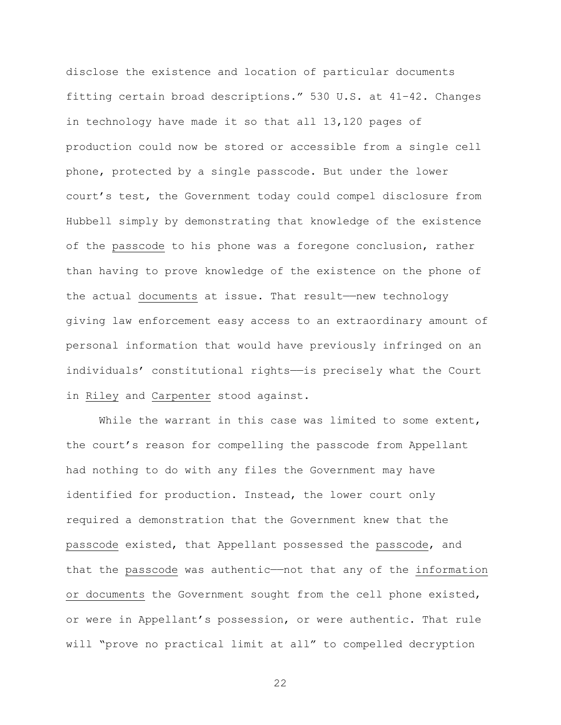disclose the existence and location of particular documents fitting certain broad descriptions." 530 U.S. at 41–42. Changes in technology have made it so that all 13,120 pages of production could now be stored or accessible from a single cell phone, protected by a single passcode. But under the lower court's test, the Government today could compel disclosure from Hubbell simply by demonstrating that knowledge of the existence of the passcode to his phone was a foregone conclusion, rather than having to prove knowledge of the existence on the phone of the actual documents at issue. That result——new technology giving law enforcement easy access to an extraordinary amount of personal information that would have previously infringed on an individuals' constitutional rights——is precisely what the Court in Riley and Carpenter stood against.

While the warrant in this case was limited to some extent, the court's reason for compelling the passcode from Appellant had nothing to do with any files the Government may have identified for production. Instead, the lower court only required a demonstration that the Government knew that the passcode existed, that Appellant possessed the passcode, and that the passcode was authentic——not that any of the information or documents the Government sought from the cell phone existed, or were in Appellant's possession, or were authentic. That rule will "prove no practical limit at all" to compelled decryption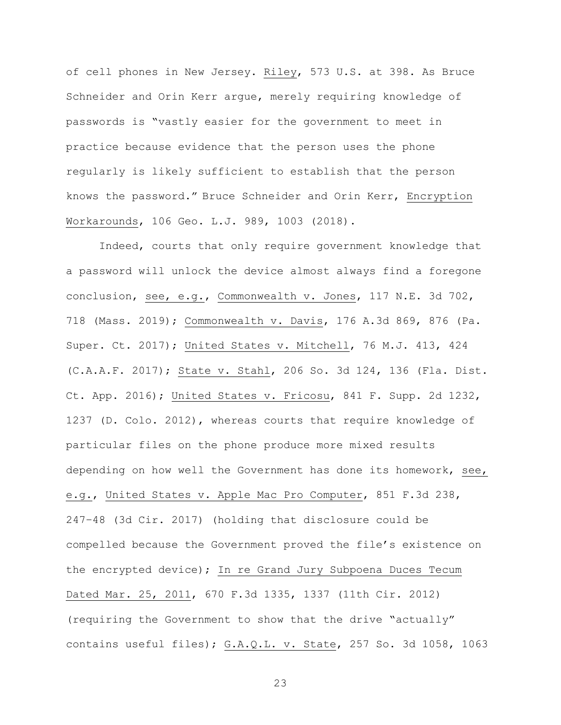of cell phones in New Jersey. Riley, 573 U.S. at 398. As Bruce Schneider and Orin Kerr argue, merely requiring knowledge of passwords is "vastly easier for the government to meet in practice because evidence that the person uses the phone regularly is likely sufficient to establish that the person knows the password." Bruce Schneider and Orin Kerr, Encryption Workarounds, 106 Geo. L.J. 989, 1003 (2018).

Indeed, courts that only require government knowledge that a password will unlock the device almost always find a foregone conclusion, see, e.g., Commonwealth v. Jones, 117 N.E. 3d 702, 718 (Mass. 2019); Commonwealth v. Davis, 176 A.3d 869, 876 (Pa. Super. Ct. 2017); United States v. Mitchell, 76 M.J. 413, 424 (C.A.A.F. 2017); State v. Stahl, 206 So. 3d 124, 136 (Fla. Dist. Ct. App. 2016); United States v. Fricosu, 841 F. Supp. 2d 1232, 1237 (D. Colo. 2012), whereas courts that require knowledge of particular files on the phone produce more mixed results depending on how well the Government has done its homework, see, e.g., United States v. Apple Mac Pro Computer, 851 F.3d 238, 247–48 (3d Cir. 2017) (holding that disclosure could be compelled because the Government proved the file's existence on the encrypted device); In re Grand Jury Subpoena Duces Tecum Dated Mar. 25, 2011, 670 F.3d 1335, 1337 (11th Cir. 2012) (requiring the Government to show that the drive "actually" contains useful files); G.A.Q.L. v. State, 257 So. 3d 1058, 1063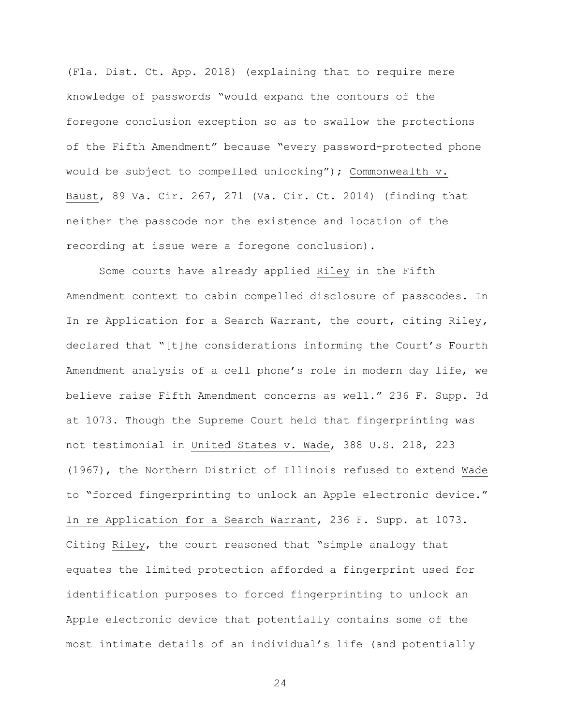(Fla. Dist. Ct. App. 2018) (explaining that to require mere knowledge of passwords "would expand the contours of the foregone conclusion exception so as to swallow the protections of the Fifth Amendment" because "every password-protected phone would be subject to compelled unlocking"); Commonwealth v. Baust, 89 Va. Cir. 267, 271 (Va. Cir. Ct. 2014) (finding that neither the passcode nor the existence and location of the recording at issue were a foregone conclusion).

Some courts have already applied Riley in the Fifth Amendment context to cabin compelled disclosure of passcodes. In In re Application for a Search Warrant, the court, citing Riley*,*  declared that "[t]he considerations informing the Court's Fourth Amendment analysis of a cell phone's role in modern day life, we believe raise Fifth Amendment concerns as well." 236 F. Supp. 3d at 1073. Though the Supreme Court held that fingerprinting was not testimonial in United States v. Wade, 388 U.S. 218, 223 (1967), the Northern District of Illinois refused to extend Wade to "forced fingerprinting to unlock an Apple electronic device." In re Application for a Search Warrant, 236 F. Supp. at 1073. Citing Riley, the court reasoned that "simple analogy that equates the limited protection afforded a fingerprint used for identification purposes to forced fingerprinting to unlock an Apple electronic device that potentially contains some of the most intimate details of an individual's life (and potentially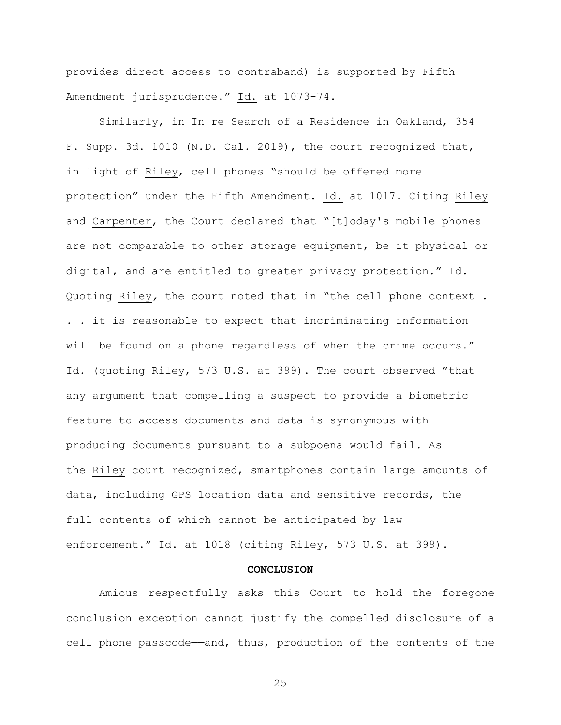provides direct access to contraband) is supported by Fifth Amendment jurisprudence." Id. at 1073-74.

Similarly, in In re Search of a Residence in Oakland, 354 F. Supp. 3d. 1010 (N.D. Cal. 2019), the court recognized that, in light of Riley, cell phones "should be offered more protection" under the Fifth Amendment. Id. at 1017. Citing Riley and Carpenter, the Court declared that "[t]oday's mobile phones are not comparable to other storage equipment, be it physical or digital, and are entitled to greater privacy protection." Id. Quoting Riley*,* the court noted that in "the cell phone context . . . it is reasonable to expect that incriminating information will be found on a phone regardless of when the crime occurs." Id. (quoting Riley, 573 U.S. at 399). The court observed "that any argument that compelling a suspect to provide a biometric feature to access documents and data is synonymous with producing documents pursuant to a subpoena would fail. As the Riley court recognized, smartphones contain large amounts of data, including GPS location data and sensitive records, the full contents of which cannot be anticipated by law enforcement." Id. at 1018 (citing Riley, 573 U.S. at 399).

## **CONCLUSION**

Amicus respectfully asks this Court to hold the foregone conclusion exception cannot justify the compelled disclosure of a cell phone passcode—and, thus, production of the contents of the